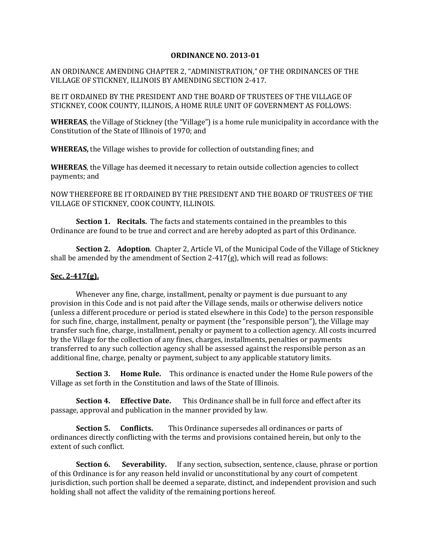## **ORDINANCE NO. 2013-01**

AN ORDINANCE AMENDING CHAPTER 2, "ADMINISTRATION," OF THE ORDINANCES OF THE VILLAGE OF STICKNEY, ILLINOIS BY AMENDING SECTION 2-417.

BE IT ORDAINED BY THE PRESIDENT AND THE BOARD OF TRUSTEES OF THE VILLAGE OF STICKNEY, COOK COUNTY, ILLINOIS, A HOME RULE UNIT OF GOVERNMENT AS FOLLOWS:

**WHEREAS**, the Village of Stickney (the "Village") is a home rule municipality in accordance with the Constitution of the State of Illinois of 1970; and

**WHEREAS,** the Village wishes to provide for collection of outstanding fines; and

**WHEREAS**, the Village has deemed it necessary to retain outside collection agencies to collect payments; and

NOW THEREFORE BE IT ORDAINED BY THE PRESIDENT AND THE BOARD OF TRUSTEES OF THE VILLAGE OF STICKNEY, COOK COUNTY, ILLINOIS.

**Section 1. Recitals.** The facts and statements contained in the preambles to this Ordinance are found to be true and correct and are hereby adopted as part of this Ordinance.

**Section 2. Adoption**. Chapter 2, Article VI, of the Municipal Code of the Village of Stickney shall be amended by the amendment of Section 2-417(g), which will read as follows:

## **Sec. 2-417(g).**

Whenever any fine, charge, installment, penalty or payment is due pursuant to any provision in this Code and is not paid after the Village sends, mails or otherwise delivers notice (unless a different procedure or period is stated elsewhere in this Code) to the person responsible for such fine, charge, installment, penalty or payment (the "responsible person"), the Village may transfer such fine, charge, installment, penalty or payment to a collection agency. All costs incurred by the Village for the collection of any fines, charges, installments, penalties or payments transferred to any such collection agency shall be assessed against the responsible person as an additional fine, charge, penalty or payment, subject to any applicable statutory limits.

**Section 3. Home Rule.** This ordinance is enacted under the Home Rule powers of the Village as set forth in the Constitution and laws of the State of Illinois.

**Section 4. Effective Date.** This Ordinance shall be in full force and effect after its passage, approval and publication in the manner provided by law.

**Section 5. Conflicts.** This Ordinance supersedes all ordinances or parts of ordinances directly conflicting with the terms and provisions contained herein, but only to the extent of such conflict.

**Section 6.** Severability. If any section, subsection, sentence, clause, phrase or portion of this Ordinance is for any reason held invalid or unconstitutional by any court of competent jurisdiction, such portion shall be deemed a separate, distinct, and independent provision and such holding shall not affect the validity of the remaining portions hereof.